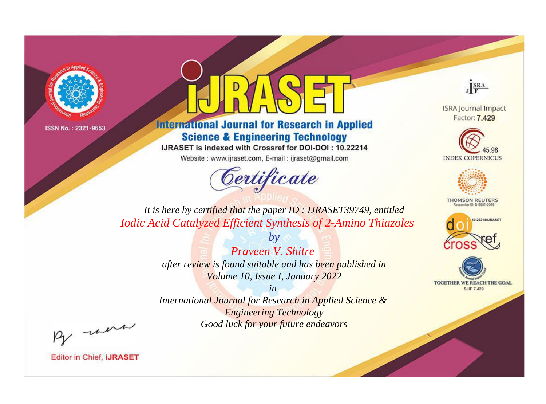



**International Journal for Research in Applied Science & Engineering Technology** 

IJRASET is indexed with Crossref for DOI-DOI: 10.22214

Website: www.ijraset.com, E-mail: ijraset@gmail.com



JERA

**ISRA Journal Impact** Factor: 7.429





**THOMSON REUTERS** 



TOGETHER WE REACH THE GOAL **SJIF 7.429** 

It is here by certified that the paper ID: IJRASET39749, entitled **Iodic Acid Catalyzed Efficient Synthesis of 2-Amino Thiazoles** 

> Prayeen V. Shitre after review is found suitable and has been published in Volume 10, Issue I, January 2022

 $b\nu$ 

 $in$ International Journal for Research in Applied Science & **Engineering Technology** Good luck for your future endeavors

By morn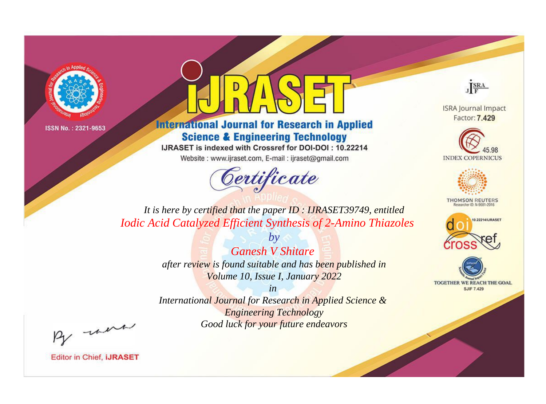



**International Journal for Research in Applied Science & Engineering Technology** 

IJRASET is indexed with Crossref for DOI-DOI: 10.22214

Website: www.ijraset.com, E-mail: ijraset@gmail.com



JERA

**ISRA Journal Impact** Factor: 7.429





**THOMSON REUTERS** 



TOGETHER WE REACH THE GOAL **SJIF 7.429** 

It is here by certified that the paper ID: IJRASET39749, entitled **Iodic Acid Catalyzed Efficient Synthesis of 2-Amino Thiazoles** 

> **Ganesh V Shitare** after review is found suitable and has been published in Volume 10, Issue I, January 2022

 $b\nu$ 

 $in$ International Journal for Research in Applied Science & **Engineering Technology** Good luck for your future endeavors

By morn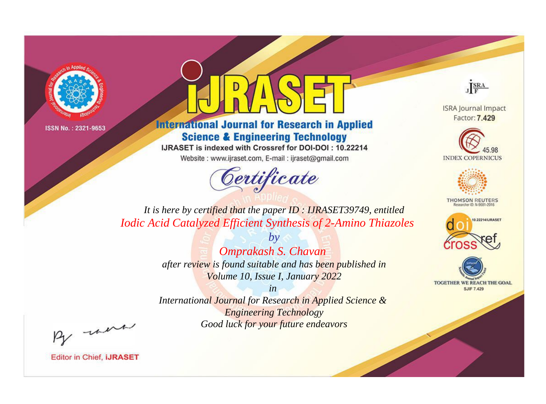



**International Journal for Research in Applied Science & Engineering Technology** 

IJRASET is indexed with Crossref for DOI-DOI: 10.22214

Website: www.ijraset.com, E-mail: ijraset@gmail.com



JERA

**ISRA Journal Impact** Factor: 7.429





**THOMSON REUTERS** 



TOGETHER WE REACH THE GOAL **SJIF 7.429** 

It is here by certified that the paper ID: IJRASET39749, entitled **Iodic Acid Catalyzed Efficient Synthesis of 2-Amino Thiazoles** 

> Omprakash S. Chavan after review is found suitable and has been published in Volume 10, Issue I, January 2022

 $b\nu$ 

 $in$ International Journal for Research in Applied Science & **Engineering Technology** Good luck for your future endeavors

By morn